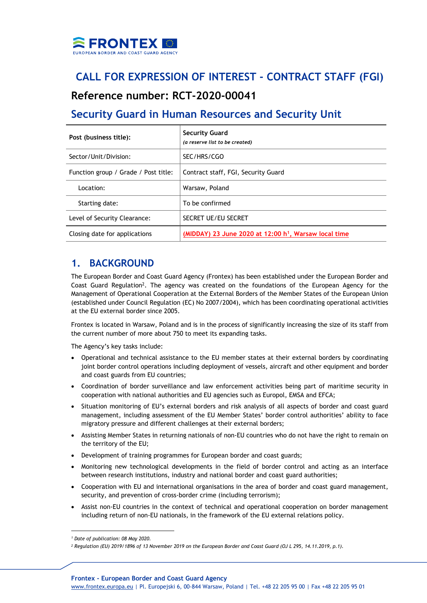

# **CALL FOR EXPRESSION OF INTEREST - CONTRACT STAFF (FGI)**

## **Reference number: RCT-2020-00041**

# **Security Guard in Human Resources and Security Unit**

| Post (business title):               | <b>Security Guard</b><br>(a reserve list to be created) |
|--------------------------------------|---------------------------------------------------------|
| Sector/Unit/Division:                | SEC/HRS/CGO                                             |
| Function group / Grade / Post title: | Contract staff, FGI, Security Guard                     |
| Location:                            | Warsaw, Poland                                          |
| Starting date:                       | To be confirmed                                         |
| Level of Security Clearance:         | <b>SECRET UE/EU SECRET</b>                              |
| Closing date for applications        | (MIDDAY) 23 June 2020 at 12:00 $h1$ , Warsaw local time |

### **1. BACKGROUND**

The European Border and Coast Guard Agency (Frontex) has been established under the European Border and Coast Guard Regulation<sup>2</sup>. The agency was created on the foundations of the European Agency for the Management of Operational Cooperation at the External Borders of the Member States of the European Union (established under Council Regulation (EC) No 2007/2004), which has been coordinating operational activities at the EU external border since 2005.

Frontex is located in Warsaw, Poland and is in the process of significantly increasing the size of its staff from the current number of more about 750 to meet its expanding tasks.

The Agency's key tasks include:

- Operational and technical assistance to the EU member states at their external borders by coordinating joint border control operations including deployment of vessels, aircraft and other equipment and border and coast guards from EU countries;
- Coordination of border surveillance and law enforcement activities being part of maritime security in cooperation with national authorities and EU agencies such as Europol, EMSA and EFCA;
- Situation monitoring of EU's external borders and risk analysis of all aspects of border and coast guard management, including assessment of the EU Member States' border control authorities' ability to face migratory pressure and different challenges at their external borders;
- Assisting Member States in returning nationals of non-EU countries who do not have the right to remain on the territory of the EU;
- Development of training programmes for European border and coast guards;
- Monitoring new technological developments in the field of border control and acting as an interface between research institutions, industry and national border and coast guard authorities;
- Cooperation with EU and international organisations in the area of border and coast guard management, security, and prevention of cross-border crime (including terrorism);
- Assist non-EU countries in the context of technical and operational cooperation on border management including return of non-EU nationals, in the framework of the EU external relations policy.

*<sup>1</sup> Date of publication: 08 May 2020.*

*<sup>2</sup> Regulation (EU) 2019/1896 of 13 November 2019 on the European Border and Coast Guard (OJ L 295, 14.11.2019, p.1).*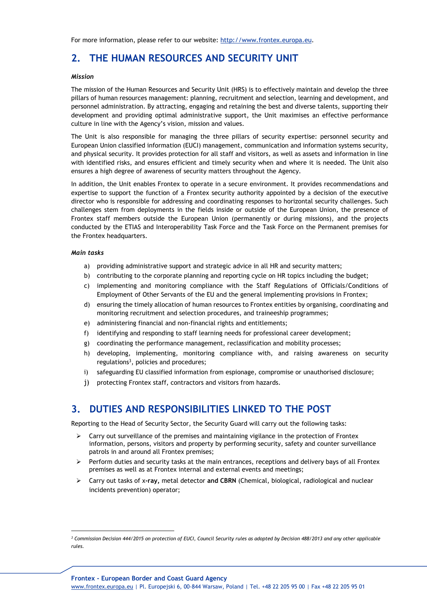For more information, please refer to our website: [http://www.frontex.europa.eu.](http://www.frontex.europa.eu/)

## **2. THE HUMAN RESOURCES AND SECURITY UNIT**

#### *Mission*

The mission of the Human Resources and Security Unit (HRS) is to effectively maintain and develop the three pillars of human resources management: planning, recruitment and selection, learning and development, and personnel administration. By attracting, engaging and retaining the best and diverse talents, supporting their development and providing optimal administrative support, the Unit maximises an effective performance culture in line with the Agency's vision, mission and values.

The Unit is also responsible for managing the three pillars of security expertise: personnel security and European Union classified information (EUCI) management, communication and information systems security, and physical security. It provides protection for all staff and visitors, as well as assets and information in line with identified risks, and ensures efficient and timely security when and where it is needed. The Unit also ensures a high degree of awareness of security matters throughout the Agency.

In addition, the Unit enables Frontex to operate in a secure environment. It provides recommendations and expertise to support the function of a Frontex security authority appointed by a decision of the executive director who is responsible for addressing and coordinating responses to horizontal security challenges. Such challenges stem from deployments in the fields inside or outside of the European Union, the presence of Frontex staff members outside the European Union (permanently or during missions), and the projects conducted by the ETIAS and Interoperability Task Force and the Task Force on the Permanent premises for the Frontex headquarters.

#### *Main tasks*

- a) providing administrative support and strategic advice in all HR and security matters;
- b) contributing to the corporate planning and reporting cycle on HR topics including the budget;
- c) implementing and monitoring compliance with the Staff Regulations of Officials/Conditions of Employment of Other Servants of the EU and the general implementing provisions in Frontex;
- d) ensuring the timely allocation of human resources to Frontex entities by organising, coordinating and monitoring recruitment and selection procedures, and traineeship programmes;
- e) administering financial and non-financial rights and entitlements;
- f) identifying and responding to staff learning needs for professional career development;
- g) coordinating the performance management, reclassification and mobility processes;
- h) developing, implementing, monitoring compliance with, and raising awareness on security regulations<sup>3</sup>, policies and procedures;
- i) safeguarding EU classified information from espionage, compromise or unauthorised disclosure;
- j) protecting Frontex staff, contractors and visitors from hazards.

### **3. DUTIES AND RESPONSIBILITIES LINKED TO THE POST**

Reporting to the Head of Security Sector, the Security Guard will carry out the following tasks:

- $\triangleright$  Carry out surveillance of the premises and maintaining vigilance in the protection of Frontex information, persons, visitors and property by performing security, safety and counter surveillance patrols in and around all Frontex premises;
- Perform duties and security tasks at the main entrances, receptions and delivery bays of all Frontex premises as well as at Frontex internal and external events and meetings;
- Carry out tasks of x**-ray,** metal detector **and CBRN** (Chemical, biological, radiological and nuclear incidents prevention) operator;

*<sup>3</sup> Commission Decision 444/2015 on protection of EUCI, Council Security rules as adopted by Decision 488/2013 and any other applicable rules.*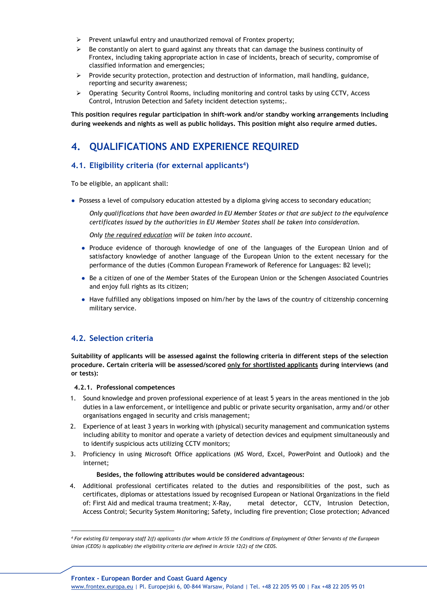- $\triangleright$  Prevent unlawful entry and unauthorized removal of Frontex property;
- $\triangleright$  Be constantly on alert to guard against any threats that can damage the business continuity of Frontex, including taking appropriate action in case of incidents, breach of security, compromise of classified information and emergencies;
- $\triangleright$  Provide security protection, protection and destruction of information, mail handling, guidance, reporting and security awareness;
- $\triangleright$  Operating Security Control Rooms, including monitoring and control tasks by using CCTV, Access Control, Intrusion Detection and Safety incident detection systems;.

**This position requires regular participation in shift-work and/or standby working arrangements including during weekends and nights as well as public holidays. This position might also require armed duties.**

## **4. QUALIFICATIONS AND EXPERIENCE REQUIRED**

### **4.1. Eligibility criteria (for external applicants<sup>4</sup> )**

To be eligible, an applicant shall:

● Possess a level of compulsory education attested by a diploma giving access to secondary education;

*Only qualifications that have been awarded in EU Member States or that are subject to the equivalence certificates issued by the authorities in EU Member States shall be taken into consideration.*

*Only the required education will be taken into account.*

- Produce evidence of thorough knowledge of one of the languages of the European Union and of satisfactory knowledge of another language of the European Union to the extent necessary for the performance of the duties (Common European Framework of Reference for Languages: B2 level);
- Be a citizen of one of the Member States of the European Union or the Schengen Associated Countries and enjoy full rights as its citizen;
- Have fulfilled any obligations imposed on him/her by the laws of the country of citizenship concerning military service.

### **4.2. Selection criteria**

**Suitability of applicants will be assessed against the following criteria in different steps of the selection procedure. Certain criteria will be assessed/scored only for shortlisted applicants during interviews (and or tests):**

**4.2.1. Professional competences**

- 1. Sound knowledge and proven professional experience of at least 5 years in the areas mentioned in the job duties in a law enforcement, or intelligence and public or private security organisation, army and/or other organisations engaged in security and crisis management;
- 2. Experience of at least 3 years in working with (physical) security management and communication systems including ability to monitor and operate a variety of detection devices and equipment simultaneously and to identify suspicious acts utilizing CCTV monitors;
- 3. Proficiency in using Microsoft Office applications (MS Word, Excel, PowerPoint and Outlook) and the internet;

#### **Besides, the following attributes would be considered advantageous:**

4. Additional professional certificates related to the duties and responsibilities of the post, such as certificates, diplomas or attestations issued by recognised European or National Organizations in the field of: First Aid and medical trauma treatment; X-Ray, metal detector, CCTV, Intrusion Detection, Access Control; Security System Monitoring; Safety, including fire prevention; Close protection; Advanced

*<sup>4</sup> For existing EU temporary staff 2(f) applicants (for whom Article 55 the Conditions of Employment of Other Servants of the European Union (CEOS) is applicable) the eligibility criteria are defined in Article 12(2) of the CEOS.*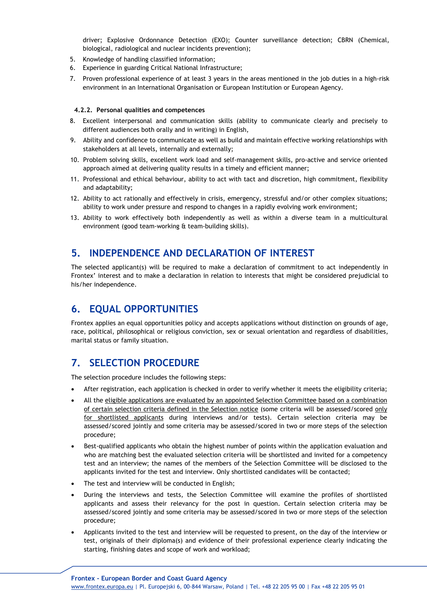driver; Explosive Ordonnance Detection (EXO); Counter surveillance detection; CBRN (Chemical, biological, radiological and nuclear incidents prevention);

- 5. Knowledge of handling classified information;
- 6. Experience in guarding Critical National Infrastructure;
- 7. Proven professional experience of at least 3 years in the areas mentioned in the job duties in a high-risk environment in an International Organisation or European Institution or European Agency.

#### **4.2.2. Personal qualities and competences**

- 8. Excellent interpersonal and communication skills (ability to communicate clearly and precisely to different audiences both orally and in writing) in English,
- 9. Ability and confidence to communicate as well as build and maintain effective working relationships with stakeholders at all levels, internally and externally;
- 10. Problem solving skills, excellent work load and self-management skills, pro-active and service oriented approach aimed at delivering quality results in a timely and efficient manner;
- 11. Professional and ethical behaviour, ability to act with tact and discretion, high commitment, flexibility and adaptability;
- 12. Ability to act rationally and effectively in crisis, emergency, stressful and/or other complex situations; ability to work under pressure and respond to changes in a rapidly evolving work environment;
- 13. Ability to work effectively both independently as well as within a diverse team in a multicultural environment (good team-working & team-building skills).

### **5. INDEPENDENCE AND DECLARATION OF INTEREST**

The selected applicant(s) will be required to make a declaration of commitment to act independently in Frontex' interest and to make a declaration in relation to interests that might be considered prejudicial to his/her independence.

### **6. EQUAL OPPORTUNITIES**

Frontex applies an equal opportunities policy and accepts applications without distinction on grounds of age, race, political, philosophical or religious conviction, sex or sexual orientation and regardless of disabilities, marital status or family situation.

# **7. SELECTION PROCEDURE**

The selection procedure includes the following steps:

- After registration, each application is checked in order to verify whether it meets the eligibility criteria;
- All the eligible applications are evaluated by an appointed Selection Committee based on a combination of certain selection criteria defined in the Selection notice (some criteria will be assessed/scored only for shortlisted applicants during interviews and/or tests). Certain selection criteria may be assessed/scored jointly and some criteria may be assessed/scored in two or more steps of the selection procedure;
- Best-qualified applicants who obtain the highest number of points within the application evaluation and who are matching best the evaluated selection criteria will be shortlisted and invited for a competency test and an interview; the names of the members of the Selection Committee will be disclosed to the applicants invited for the test and interview. Only shortlisted candidates will be contacted;
- The test and interview will be conducted in English;
- During the interviews and tests, the Selection Committee will examine the profiles of shortlisted applicants and assess their relevancy for the post in question. Certain selection criteria may be assessed/scored jointly and some criteria may be assessed/scored in two or more steps of the selection procedure;
- Applicants invited to the test and interview will be requested to present, on the day of the interview or test, originals of their diploma(s) and evidence of their professional experience clearly indicating the starting, finishing dates and scope of work and workload;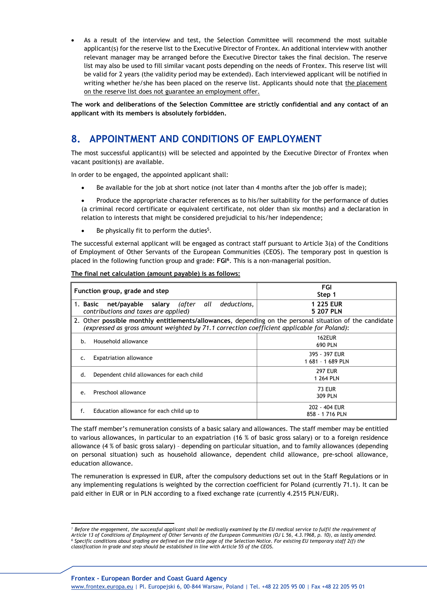As a result of the interview and test, the Selection Committee will recommend the most suitable applicant(s) for the reserve list to the Executive Director of Frontex. An additional interview with another relevant manager may be arranged before the Executive Director takes the final decision. The reserve list may also be used to fill similar vacant posts depending on the needs of Frontex. This reserve list will be valid for 2 years (the validity period may be extended). Each interviewed applicant will be notified in writing whether he/she has been placed on the reserve list. Applicants should note that the placement on the reserve list does not guarantee an employment offer.

**The work and deliberations of the Selection Committee are strictly confidential and any contact of an applicant with its members is absolutely forbidden.**

## **8. APPOINTMENT AND CONDITIONS OF EMPLOYMENT**

The most successful applicant(s) will be selected and appointed by the Executive Director of Frontex when vacant position(s) are available.

In order to be engaged, the appointed applicant shall:

- Be available for the job at short notice (not later than 4 months after the job offer is made);
- Produce the appropriate character references as to his/her suitability for the performance of duties (a criminal record certificate or equivalent certificate, not older than six months) and a declaration in relation to interests that might be considered prejudicial to his/her independence;
- $\bullet$  Be physically fit to perform the duties<sup>5</sup>.

The successful external applicant will be engaged as contract staff pursuant to Article 3(a) of the Conditions of Employment of Other Servants of the European Communities (CEOS). The temporary post in question is placed in the following function group and grade: **FGI<sup>6</sup>** . This is a non-managerial position.

| Function group, grade and step                                                                                                                                                                        | FGI<br>Step 1          |  |
|-------------------------------------------------------------------------------------------------------------------------------------------------------------------------------------------------------|------------------------|--|
| net/payable salary (after all<br>deductions,<br>1. Basic<br>contributions and taxes are applied)                                                                                                      | 1 225 EUR<br>5 207 PLN |  |
| 2. Other possible monthly entitlements/allowances, depending on the personal situation of the candidate<br>(expressed as gross amount weighted by 71.1 correction coefficient applicable for Poland): |                        |  |
| Household allowance                                                                                                                                                                                   | <b>162EUR</b>          |  |
| h.                                                                                                                                                                                                    | 690 PLN                |  |
| <b>Expatriation allowance</b>                                                                                                                                                                         | 395 - 397 EUR          |  |
| C.                                                                                                                                                                                                    | 1681 - 1689 PLN        |  |
| Dependent child allowances for each child                                                                                                                                                             | <b>297 FUR</b>         |  |
| d.                                                                                                                                                                                                    | 1 264 PLN              |  |
| Preschool allowance                                                                                                                                                                                   | <b>73 EUR</b>          |  |
| e.                                                                                                                                                                                                    | 309 PLN                |  |
| f.                                                                                                                                                                                                    | 202 - 404 EUR          |  |
| Education allowance for each child up to                                                                                                                                                              | 858 - 1716 PLN         |  |

**The final net calculation (amount payable) is as follows:**

The staff member's remuneration consists of a basic salary and allowances. The staff member may be entitled to various allowances, in particular to an expatriation (16 % of basic gross salary) or to a foreign residence allowance (4 % of basic gross salary) – depending on particular situation, and to family allowances (depending on personal situation) such as household allowance, dependent child allowance, pre-school allowance, education allowance.

The remuneration is expressed in EUR, after the compulsory deductions set out in the Staff Regulations or in any implementing regulations is weighted by the correction coefficient for Poland (currently 71.1). It can be paid either in EUR or in PLN according to a fixed exchange rate (currently 4.2515 PLN/EUR).

*<sup>5</sup> Before the engagement, the successful applicant shall be medically examined by the EU medical service to fulfil the requirement of Article 13 of Conditions of Employment of Other Servants of the European Communities (OJ L 56, 4.3.1968, p. 10), as lastly amended. 6 Specific conditions about grading are defined on the title page of the Selection Notice. For existing EU temporary staff 2(f) the classification in grade and step should be established in line with Article 55 of the CEOS.*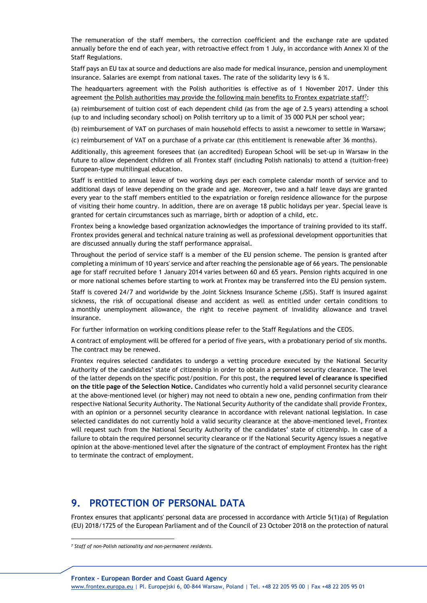The remuneration of the staff members, the correction coefficient and the exchange rate are updated annually before the end of each year, with retroactive effect from 1 July, in accordance with Annex XI of the Staff Regulations.

Staff pays an EU tax at source and deductions are also made for medical insurance, pension and unemployment insurance. Salaries are exempt from national taxes. The rate of the solidarity levy is 6 %.

The headquarters agreement with the Polish authorities is effective as of 1 November 2017. Under this agreement the Polish authorities may provide the following main benefits to Frontex expatriate staff<sup>7</sup>:

(a) reimbursement of tuition cost of each dependent child (as from the age of 2.5 years) attending a school (up to and including secondary school) on Polish territory up to a limit of 35 000 PLN per school year;

(b) reimbursement of VAT on purchases of main household effects to assist a newcomer to settle in Warsaw;

(c) reimbursement of VAT on a purchase of a private car (this entitlement is renewable after 36 months).

Additionally, this agreement foresees that (an accredited) European School will be set-up in Warsaw in the future to allow dependent children of all Frontex staff (including Polish nationals) to attend a (tuition-free) European-type multilingual education.

Staff is entitled to annual leave of two working days per each complete calendar month of service and to additional days of leave depending on the grade and age. Moreover, two and a half leave days are granted every year to the staff members entitled to the expatriation or foreign residence allowance for the purpose of visiting their home country. In addition, there are on average 18 public holidays per year. Special leave is granted for certain circumstances such as marriage, birth or adoption of a child, etc.

Frontex being a knowledge based organization acknowledges the importance of training provided to its staff. Frontex provides general and technical nature training as well as professional development opportunities that are discussed annually during the staff performance appraisal.

Throughout the period of service staff is a member of the EU pension scheme. The pension is granted after completing a minimum of 10 years' service and after reaching the pensionable age of 66 years. The pensionable age for staff recruited before 1 January 2014 varies between 60 and 65 years. Pension rights acquired in one or more national schemes before starting to work at Frontex may be transferred into the EU pension system.

Staff is covered 24/7 and worldwide by the Joint Sickness Insurance Scheme (JSIS). Staff is insured against sickness, the risk of occupational disease and accident as well as entitled under certain conditions to a monthly unemployment allowance, the right to receive payment of invalidity allowance and travel insurance.

For further information on working conditions please refer to the Staff Regulations and the CEOS.

A contract of employment will be offered for a period of five years, with a probationary period of six months. The contract may be renewed.

Frontex requires selected candidates to undergo a vetting procedure executed by the National Security Authority of the candidates' state of citizenship in order to obtain a personnel security clearance. The level of the latter depends on the specific post/position. For this post, the **required level of clearance is specified on the title page of the Selection Notice.** Candidates who currently hold a valid personnel security clearance at the above-mentioned level (or higher) may not need to obtain a new one, pending confirmation from their respective National Security Authority. The National Security Authority of the candidate shall provide Frontex, with an opinion or a personnel security clearance in accordance with relevant national legislation. In case selected candidates do not currently hold a valid security clearance at the above-mentioned level, Frontex will request such from the National Security Authority of the candidates' state of citizenship. In case of a failure to obtain the required personnel security clearance or if the National Security Agency issues a negative opinion at the above-mentioned level after the signature of the contract of employment Frontex has the right to terminate the contract of employment.

### **9. PROTECTION OF PERSONAL DATA**

Frontex ensures that applicants' personal data are processed in accordance with Article 5(1)(a) of Regulation (EU) 2018/1725 of the European Parliament and of the Council of 23 October 2018 on the protection of natural

*<sup>7</sup> Staff of non-Polish nationality and non-permanent residents.*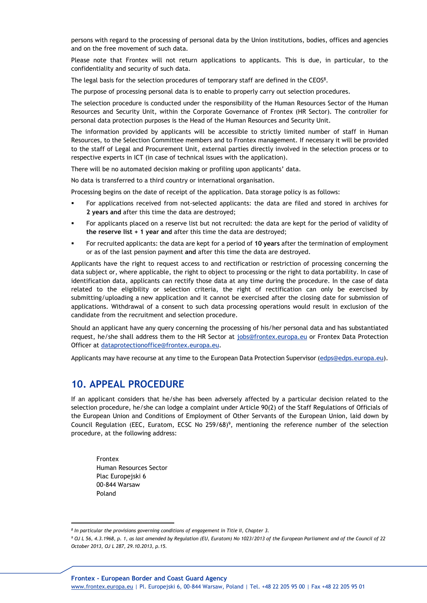persons with regard to the processing of personal data by the Union institutions, bodies, offices and agencies and on the free movement of such data.

Please note that Frontex will not return applications to applicants. This is due, in particular, to the confidentiality and security of such data.

The legal basis for the selection procedures of temporary staff are defined in the CEOS<sup>8</sup>.

The purpose of processing personal data is to enable to properly carry out selection procedures.

The selection procedure is conducted under the responsibility of the Human Resources Sector of the Human Resources and Security Unit, within the Corporate Governance of Frontex (HR Sector). The controller for personal data protection purposes is the Head of the Human Resources and Security Unit.

The information provided by applicants will be accessible to strictly limited number of staff in Human Resources, to the Selection Committee members and to Frontex management. If necessary it will be provided to the staff of Legal and Procurement Unit, external parties directly involved in the selection process or to respective experts in ICT (in case of technical issues with the application).

There will be no automated decision making or profiling upon applicants' data.

No data is transferred to a third country or international organisation.

Processing begins on the date of receipt of the application. Data storage policy is as follows:

- For applications received from not-selected applicants: the data are filed and stored in archives for **2 years and** after this time the data are destroyed;
- For applicants placed on a reserve list but not recruited: the data are kept for the period of validity of **the reserve list + 1 year and** after this time the data are destroyed;
- For recruited applicants: the data are kept for a period of **10 years** after the termination of employment or as of the last pension payment **and** after this time the data are destroyed.

Applicants have the right to request access to and rectification or restriction of processing concerning the data subject or, where applicable, the right to object to processing or the right to data portability. In case of identification data, applicants can rectify those data at any time during the procedure. In the case of data related to the eligibility or selection criteria, the right of rectification can only be exercised by submitting/uploading a new application and it cannot be exercised after the closing date for submission of applications. Withdrawal of a consent to such data processing operations would result in exclusion of the candidate from the recruitment and selection procedure.

Should an applicant have any query concerning the processing of his/her personal data and has substantiated request, he/she shall address them to the HR Sector at [jobs@frontex.europa.eu](mailto:jobs@frontex.europa.eu) or Frontex Data Protection Officer at [dataprotectionoffice@frontex.europa.eu.](mailto:dataprotectionoffice@frontex.europa.eu)

Applicants may have recourse at any time to the European Data Protection Supervisor [\(edps@edps.europa.eu\)](mailto:edps@edps.europa.eu).

### **10. APPEAL PROCEDURE**

If an applicant considers that he/she has been adversely affected by a particular decision related to the selection procedure, he/she can lodge a complaint under Article 90(2) of the Staff Regulations of Officials of the European Union and Conditions of Employment of Other Servants of the European Union, laid down by Council Regulation (EEC, Euratom, ECSC No 259/68)<sup>9</sup>, mentioning the reference number of the selection procedure, at the following address:

Frontex Human Resources Sector Plac Europeiski 6 00-844 Warsaw Poland

*<sup>8</sup> In particular the provisions governing conditions of engagement in Title II, Chapter 3.*

*<sup>9</sup> OJ L 56, 4.3.1968, p. 1, as last amended by Regulation (EU, Euratom) No 1023/2013 of the European Parliament and of the Council of 22 October 2013, OJ L 287, 29.10.2013, p.15.*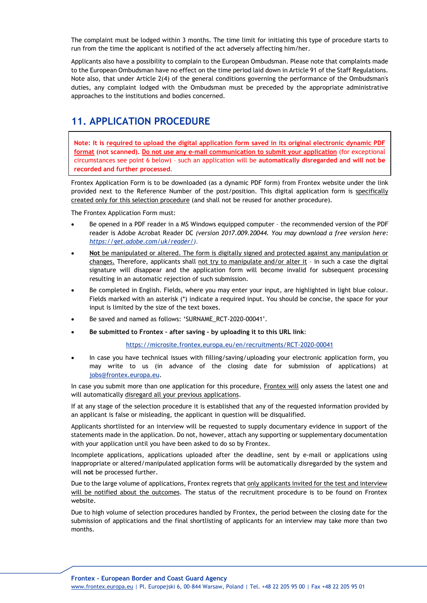The complaint must be lodged within 3 months. The time limit for initiating this type of procedure starts to run from the time the applicant is notified of the act adversely affecting him/her.

Applicants also have a possibility to complain to the European Ombudsman. Please note that complaints made to the European Ombudsman have no effect on the time period laid down in Article 91 of the Staff Regulations. Note also, that under Article 2(4) of the general conditions governing the performance of the Ombudsman's duties, any complaint lodged with the Ombudsman must be preceded by the appropriate administrative approaches to the institutions and bodies concerned.

## **11. APPLICATION PROCEDURE**

**Note: It is required to upload the digital application form saved in its original electronic dynamic PDF format (not scanned). Do not use any e-mail communication to submit your application** (for exceptional circumstances see point 6 below) – such an application will be **automatically disregarded and will not be recorded and further processed**.

Frontex Application Form is to be downloaded (as a dynamic PDF form) from Frontex website under the link provided next to the Reference Number of the post/position. This digital application form is specifically created only for this selection procedure (and shall not be reused for another procedure).

The Frontex Application Form must:

- Be opened in a PDF reader in a MS Windows equipped computer the recommended version of the PDF reader is Adobe Acrobat Reader DC *(version 2017.009.20044. You may download a free version here: [https://get.adobe.com/uk/reader/\)](https://get.adobe.com/uk/reader/).*
- **Not** be manipulated or altered. The form is digitally signed and protected against any manipulation or changes. Therefore, applicants shall not try to manipulate and/or alter it - in such a case the digital signature will disappear and the application form will become invalid for subsequent processing resulting in an automatic rejection of such submission.
- Be completed in English. Fields, where you may enter your input, are highlighted in light blue colour. Fields marked with an asterisk (\*) indicate a required input. You should be concise, the space for your input is limited by the size of the text boxes.
- Be saved and named as follows: 'SURNAME\_RCT-2020-00041'.
- **Be submitted to Frontex after saving by uploading it to this URL link**:

#### <https://microsite.frontex.europa.eu/en/recruitments/RCT-2020-00041>

 In case you have technical issues with filling/saving/uploading your electronic application form, you may write to us (in advance of the closing date for submission of applications) at [jobs@frontex.europa.eu](mailto:jobs@frontex.europa.eu).

In case you submit more than one application for this procedure, Frontex will only assess the latest one and will automatically disregard all your previous applications.

If at any stage of the selection procedure it is established that any of the requested information provided by an applicant is false or misleading, the applicant in question will be disqualified.

Applicants shortlisted for an interview will be requested to supply documentary evidence in support of the statements made in the application. Do not, however, attach any supporting or supplementary documentation with your application until you have been asked to do so by Frontex.

Incomplete applications, applications uploaded after the deadline, sent by e-mail or applications using inappropriate or altered/manipulated application forms will be automatically disregarded by the system and will **not** be processed further.

Due to the large volume of applications, Frontex regrets that only applicants invited for the test and interview will be notified about the outcomes. The status of the recruitment procedure is to be found on Frontex website.

Due to high volume of selection procedures handled by Frontex, the period between the closing date for the submission of applications and the final shortlisting of applicants for an interview may take more than two months.